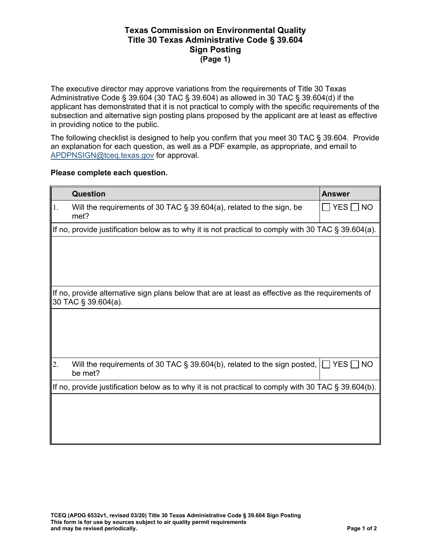## **Texas Commission on Environmental Quality Title 30 Texas Administrative Code § 39.604 Sign Posting (Page 1)**

The executive director may approve variations from the requirements of Title 30 Texas Administrative Code § 39.604 (30 TAC § 39.604) as allowed in 30 TAC § 39.604(d) if the applicant has demonstrated that it is not practical to comply with the specific requirements of the subsection and alternative sign posting plans proposed by the applicant are at least as effective in providing notice to the public.

The following checklist is designed to help you confirm that you meet 30 TAC § 39.604. Provide an explanation for each question, as well as a PDF example, as appropriate, and email to [APDPNSIGN@tceq.texas.gov](mailto:APDPNSIGN@tceq.texas.gov) for approval.

## **Please complete each question.**

|    | <b>Question</b>                                                                                                            | <b>Answer</b>                        |  |
|----|----------------------------------------------------------------------------------------------------------------------------|--------------------------------------|--|
| 1. | Will the requirements of 30 TAC $\S$ 39.604(a), related to the sign, be<br>met?                                            | $\square$ YES $\square$<br><b>NO</b> |  |
|    | If no, provide justification below as to why it is not practical to comply with 30 TAC $\S 39.604(a)$ .                    |                                      |  |
|    |                                                                                                                            |                                      |  |
|    | If no, provide alternative sign plans below that are at least as effective as the requirements of<br>$30$ TAC § 39.604(a). |                                      |  |
|    |                                                                                                                            |                                      |  |
| 2. | Will the requirements of 30 TAC § 39.604(b), related to the sign posted,<br>be met?                                        | YES $\Box$<br><b>NO</b>              |  |
|    | If no, provide justification below as to why it is not practical to comply with 30 TAC § 39.604(b).                        |                                      |  |
|    |                                                                                                                            |                                      |  |